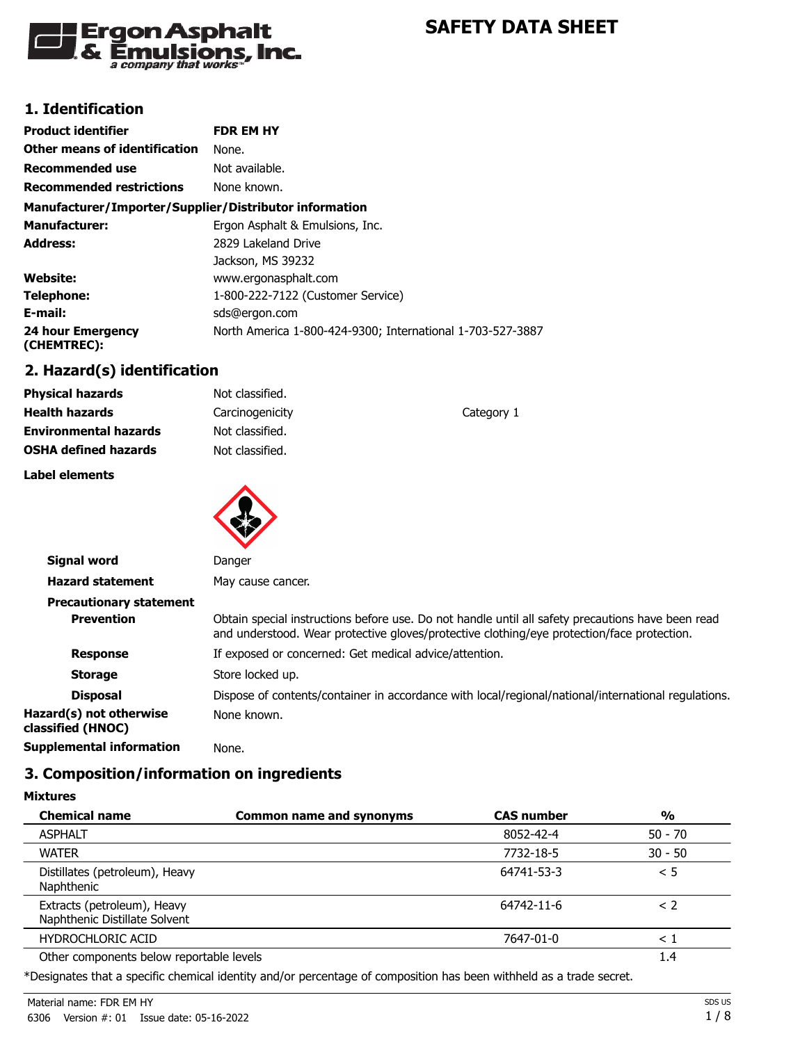

# **1. Identification**

| <b>Product identifier</b>                              | <b>FDR EM HY</b>                                           |
|--------------------------------------------------------|------------------------------------------------------------|
| Other means of identification                          | None.                                                      |
| <b>Recommended use</b>                                 | Not available.                                             |
| <b>Recommended restrictions</b>                        | None known.                                                |
| Manufacturer/Importer/Supplier/Distributor information |                                                            |
| <b>Manufacturer:</b>                                   | Ergon Asphalt & Emulsions, Inc.                            |
| Address:                                               | 2829 Lakeland Drive                                        |
|                                                        | Jackson, MS 39232                                          |
| Website:                                               | www.ergonasphalt.com                                       |
| Telephone:                                             | 1-800-222-7122 (Customer Service)                          |
| E-mail:                                                | sds@ergon.com                                              |
| 24 hour Emergency<br>(CHEMTREC):                       | North America 1-800-424-9300; International 1-703-527-3887 |

# **2. Hazard(s) identification**

| <b>Physical hazards</b>      | Not classified. |            |
|------------------------------|-----------------|------------|
| <b>Health hazards</b>        | Carcinogenicity | Category 1 |
| <b>Environmental hazards</b> | Not classified. |            |
| <b>OSHA defined hazards</b>  | Not classified. |            |
|                              |                 |            |

**Label elements**

**Mixtures**



| Signal word                                  | Danger                                                                                                                                                                                          |
|----------------------------------------------|-------------------------------------------------------------------------------------------------------------------------------------------------------------------------------------------------|
| <b>Hazard statement</b>                      | May cause cancer.                                                                                                                                                                               |
| <b>Precautionary statement</b>               |                                                                                                                                                                                                 |
| <b>Prevention</b>                            | Obtain special instructions before use. Do not handle until all safety precautions have been read<br>and understood. Wear protective gloves/protective clothing/eye protection/face protection. |
| <b>Response</b>                              | If exposed or concerned: Get medical advice/attention.                                                                                                                                          |
| <b>Storage</b>                               | Store locked up.                                                                                                                                                                                |
| <b>Disposal</b>                              | Dispose of contents/container in accordance with local/regional/national/international regulations.                                                                                             |
| Hazard(s) not otherwise<br>classified (HNOC) | None known.                                                                                                                                                                                     |
| <b>Supplemental information</b>              | None.                                                                                                                                                                                           |
|                                              |                                                                                                                                                                                                 |

# **3. Composition/information on ingredients**

| <b>Chemical name</b>                                         | <b>Common name and synonyms</b> | <b>CAS number</b> | $\frac{1}{2}$ |
|--------------------------------------------------------------|---------------------------------|-------------------|---------------|
| <b>ASPHALT</b>                                               |                                 | 8052-42-4         | $50 - 70$     |
| <b>WATER</b>                                                 |                                 | 7732-18-5         | $30 - 50$     |
| Distillates (petroleum), Heavy<br>Naphthenic                 |                                 | 64741-53-3        | < 5           |
| Extracts (petroleum), Heavy<br>Naphthenic Distillate Solvent |                                 | 64742-11-6        | $\leq$ 2      |
| <b>HYDROCHLORIC ACID</b>                                     |                                 | 7647-01-0         | $<$ 1         |
| Other components below reportable levels                     |                                 |                   | 1.4           |

\*Designates that a specific chemical identity and/or percentage of composition has been withheld as a trade secret.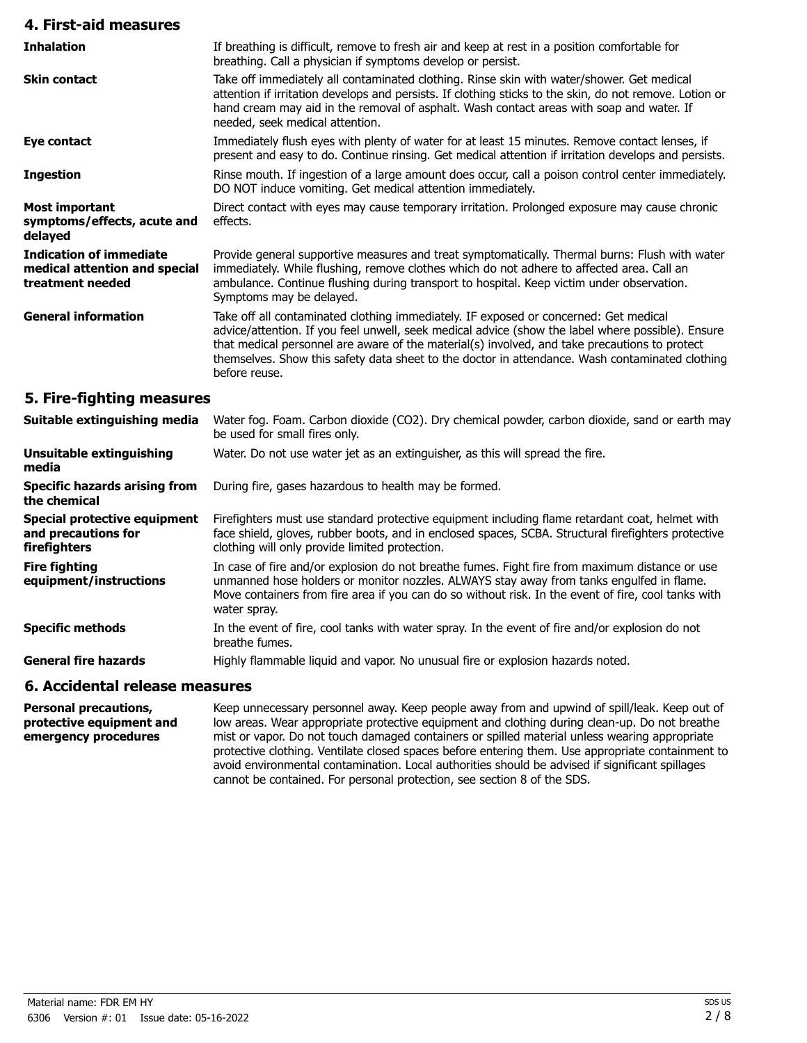| 4. First-aid measures                                                               |                                                                                                                                                                                                                                                                                                                                                                                                                |
|-------------------------------------------------------------------------------------|----------------------------------------------------------------------------------------------------------------------------------------------------------------------------------------------------------------------------------------------------------------------------------------------------------------------------------------------------------------------------------------------------------------|
| <b>Inhalation</b>                                                                   | If breathing is difficult, remove to fresh air and keep at rest in a position comfortable for<br>breathing. Call a physician if symptoms develop or persist.                                                                                                                                                                                                                                                   |
| <b>Skin contact</b>                                                                 | Take off immediately all contaminated clothing. Rinse skin with water/shower. Get medical<br>attention if irritation develops and persists. If clothing sticks to the skin, do not remove. Lotion or<br>hand cream may aid in the removal of asphalt. Wash contact areas with soap and water. If<br>needed, seek medical attention.                                                                            |
| Eye contact                                                                         | Immediately flush eyes with plenty of water for at least 15 minutes. Remove contact lenses, if<br>present and easy to do. Continue rinsing. Get medical attention if irritation develops and persists.                                                                                                                                                                                                         |
| <b>Ingestion</b>                                                                    | Rinse mouth. If ingestion of a large amount does occur, call a poison control center immediately.<br>DO NOT induce vomiting. Get medical attention immediately.                                                                                                                                                                                                                                                |
| <b>Most important</b><br>symptoms/effects, acute and<br>delayed                     | Direct contact with eyes may cause temporary irritation. Prolonged exposure may cause chronic<br>effects.                                                                                                                                                                                                                                                                                                      |
| <b>Indication of immediate</b><br>medical attention and special<br>treatment needed | Provide general supportive measures and treat symptomatically. Thermal burns: Flush with water<br>immediately. While flushing, remove clothes which do not adhere to affected area. Call an<br>ambulance. Continue flushing during transport to hospital. Keep victim under observation.<br>Symptoms may be delayed.                                                                                           |
| <b>General information</b>                                                          | Take off all contaminated clothing immediately. IF exposed or concerned: Get medical<br>advice/attention. If you feel unwell, seek medical advice (show the label where possible). Ensure<br>that medical personnel are aware of the material(s) involved, and take precautions to protect<br>themselves. Show this safety data sheet to the doctor in attendance. Wash contaminated clothing<br>before reuse. |
| 5. Fire-fighting measures                                                           |                                                                                                                                                                                                                                                                                                                                                                                                                |
| Suitable extinguishing media                                                        | Water fog. Foam. Carbon dioxide (CO2). Dry chemical powder, carbon dioxide, sand or earth may<br>be used for small fires only.                                                                                                                                                                                                                                                                                 |
| <b>Unsuitable extinguishing</b><br>media                                            | Water. Do not use water jet as an extinguisher, as this will spread the fire.                                                                                                                                                                                                                                                                                                                                  |
| <b>Specific hazards arising from</b><br>the chemical                                | During fire, gases hazardous to health may be formed.                                                                                                                                                                                                                                                                                                                                                          |
| <b>Special protective equipment</b><br>and precautions for                          | Firefighters must use standard protective equipment including flame retardant coat, helmet with<br>face shield, gloves, rubber boots, and in enclosed spaces, SCBA. Structural firefighters protective<br>والمستلقح ويقويتها المستقفون المالوق يمتنون بالمرمى القرير استوقاها والمسام                                                                                                                          |

| Suitable extinguishing media                                               | Water fog. Foam. Carbon dioxide (CO2). Dry chemical powder, carbon dioxide, sand or earth may<br>be used for small fires only.                                                                                                                                                                                    |
|----------------------------------------------------------------------------|-------------------------------------------------------------------------------------------------------------------------------------------------------------------------------------------------------------------------------------------------------------------------------------------------------------------|
| Unsuitable extinguishing<br>media                                          | Water. Do not use water jet as an extinguisher, as this will spread the fire.                                                                                                                                                                                                                                     |
| <b>Specific hazards arising from</b><br>the chemical                       | During fire, gases hazardous to health may be formed.                                                                                                                                                                                                                                                             |
| <b>Special protective equipment</b><br>and precautions for<br>firefighters | Firefighters must use standard protective equipment including flame retardant coat, helmet with<br>face shield, gloves, rubber boots, and in enclosed spaces, SCBA. Structural firefighters protective<br>clothing will only provide limited protection.                                                          |
| <b>Fire fighting</b><br>equipment/instructions                             | In case of fire and/or explosion do not breathe fumes. Fight fire from maximum distance or use<br>unmanned hose holders or monitor nozzles. ALWAYS stay away from tanks engulfed in flame.<br>Move containers from fire area if you can do so without risk. In the event of fire, cool tanks with<br>water spray. |
| <b>Specific methods</b>                                                    | In the event of fire, cool tanks with water spray. In the event of fire and/or explosion do not<br>breathe fumes.                                                                                                                                                                                                 |
| <b>General fire hazards</b>                                                | Highly flammable liquid and vapor. No unusual fire or explosion hazards noted.                                                                                                                                                                                                                                    |

# **6. Accidental release measures**

Keep unnecessary personnel away. Keep people away from and upwind of spill/leak. Keep out of low areas. Wear appropriate protective equipment and clothing during clean-up. Do not breathe mist or vapor. Do not touch damaged containers or spilled material unless wearing appropriate protective clothing. Ventilate closed spaces before entering them. Use appropriate containment to avoid environmental contamination. Local authorities should be advised if significant spillages cannot be contained. For personal protection, see section 8 of the SDS. **Personal precautions, protective equipment and emergency procedures**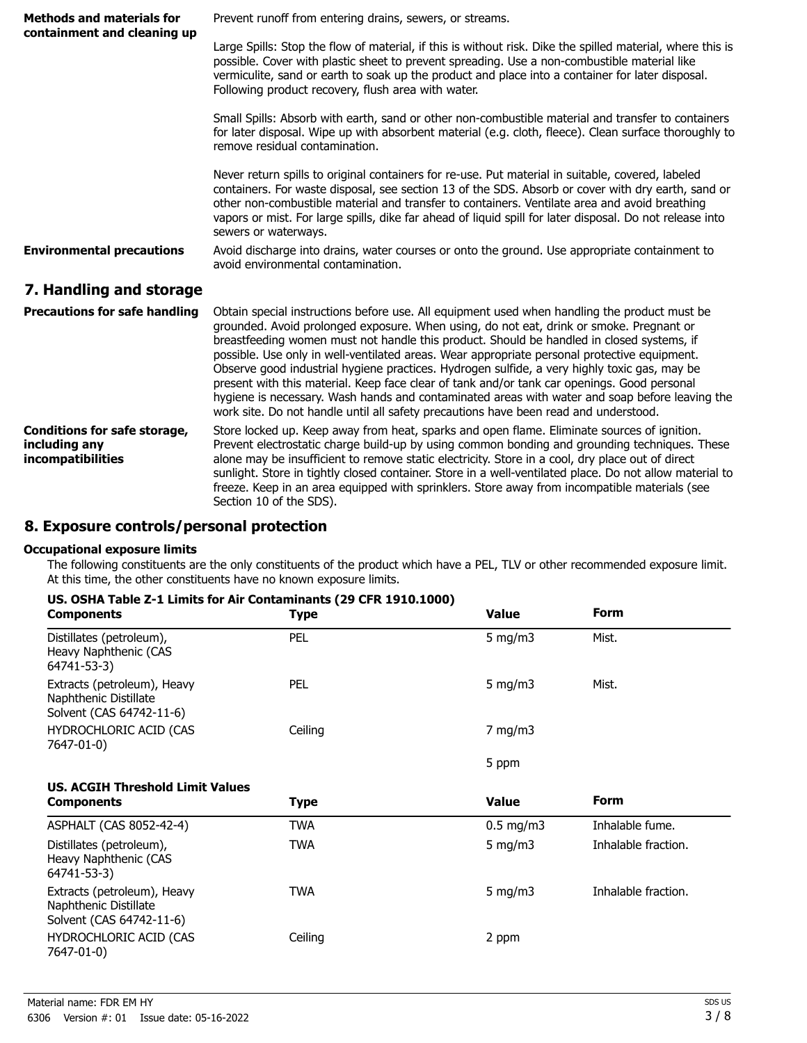| <b>Methods and materials for</b><br>containment and cleaning up           | Prevent runoff from entering drains, sewers, or streams.                                                                                                                                                                                                                                                                                                                                                                                                                                                                                                                                                                                                                                                                                                                      |  |
|---------------------------------------------------------------------------|-------------------------------------------------------------------------------------------------------------------------------------------------------------------------------------------------------------------------------------------------------------------------------------------------------------------------------------------------------------------------------------------------------------------------------------------------------------------------------------------------------------------------------------------------------------------------------------------------------------------------------------------------------------------------------------------------------------------------------------------------------------------------------|--|
|                                                                           | Large Spills: Stop the flow of material, if this is without risk. Dike the spilled material, where this is<br>possible. Cover with plastic sheet to prevent spreading. Use a non-combustible material like<br>vermiculite, sand or earth to soak up the product and place into a container for later disposal.<br>Following product recovery, flush area with water.                                                                                                                                                                                                                                                                                                                                                                                                          |  |
|                                                                           | Small Spills: Absorb with earth, sand or other non-combustible material and transfer to containers<br>for later disposal. Wipe up with absorbent material (e.g. cloth, fleece). Clean surface thoroughly to<br>remove residual contamination.                                                                                                                                                                                                                                                                                                                                                                                                                                                                                                                                 |  |
|                                                                           | Never return spills to original containers for re-use. Put material in suitable, covered, labeled<br>containers. For waste disposal, see section 13 of the SDS. Absorb or cover with dry earth, sand or<br>other non-combustible material and transfer to containers. Ventilate area and avoid breathing<br>vapors or mist. For large spills, dike far ahead of liquid spill for later disposal. Do not release into<br>sewers or waterways.                                                                                                                                                                                                                                                                                                                                  |  |
| <b>Environmental precautions</b>                                          | Avoid discharge into drains, water courses or onto the ground. Use appropriate containment to<br>avoid environmental contamination.                                                                                                                                                                                                                                                                                                                                                                                                                                                                                                                                                                                                                                           |  |
| 7. Handling and storage                                                   |                                                                                                                                                                                                                                                                                                                                                                                                                                                                                                                                                                                                                                                                                                                                                                               |  |
| <b>Precautions for safe handling</b>                                      | Obtain special instructions before use. All equipment used when handling the product must be<br>grounded. Avoid prolonged exposure. When using, do not eat, drink or smoke. Pregnant or<br>breastfeeding women must not handle this product. Should be handled in closed systems, if<br>possible. Use only in well-ventilated areas. Wear appropriate personal protective equipment.<br>Observe good industrial hygiene practices. Hydrogen sulfide, a very highly toxic gas, may be<br>present with this material. Keep face clear of tank and/or tank car openings. Good personal<br>hygiene is necessary. Wash hands and contaminated areas with water and soap before leaving the<br>work site. Do not handle until all safety precautions have been read and understood. |  |
| <b>Conditions for safe storage,</b><br>including any<br>incompatibilities | Store locked up. Keep away from heat, sparks and open flame. Eliminate sources of ignition.<br>Prevent electrostatic charge build-up by using common bonding and grounding techniques. These<br>alone may be insufficient to remove static electricity. Store in a cool, dry place out of direct<br>sunlight. Store in tightly closed container. Store in a well-ventilated place. Do not allow material to<br>freeze. Keep in an area equipped with sprinklers. Store away from incompatible materials (see<br>Section 10 of the SDS).                                                                                                                                                                                                                                       |  |

# **8. Exposure controls/personal protection**

#### **Occupational exposure limits**

The following constituents are the only constituents of the product which have a PEL, TLV or other recommended exposure limit. At this time, the other constituents have no known exposure limits.

| US. OSHA Table Z-1 Limits for Air Contaminants (29 CFR 1910.1000) |
|-------------------------------------------------------------------|
|-------------------------------------------------------------------|

| <b>Components</b>                                                                | <b>Type</b> | <b>Value</b> | <b>Form</b>         |
|----------------------------------------------------------------------------------|-------------|--------------|---------------------|
| Distillates (petroleum),<br>Heavy Naphthenic (CAS<br>64741-53-3)                 | <b>PEL</b>  | 5 mg/m $3$   | Mist.               |
| Extracts (petroleum), Heavy<br>Naphthenic Distillate<br>Solvent (CAS 64742-11-6) | <b>PEL</b>  | 5 mg/m $3$   | Mist.               |
| HYDROCHLORIC ACID (CAS<br>7647-01-0)                                             | Ceiling     | $7$ mg/m $3$ |                     |
|                                                                                  |             | 5 ppm        |                     |
| <b>US. ACGIH Threshold Limit Values</b>                                          |             |              |                     |
| <b>Components</b>                                                                | <b>Type</b> | <b>Value</b> | <b>Form</b>         |
| ASPHALT (CAS 8052-42-4)                                                          | <b>TWA</b>  | $0.5$ mg/m3  | Inhalable fume.     |
| Distillates (petroleum),<br>Heavy Naphthenic (CAS<br>64741-53-3)                 | <b>TWA</b>  | 5 mg/m $3$   | Inhalable fraction. |
| Extracts (petroleum), Heavy<br>Naphthenic Distillate<br>Solvent (CAS 64742-11-6) | <b>TWA</b>  | 5 mg/m $3$   | Inhalable fraction. |
| HYDROCHLORIC ACID (CAS<br>7647-01-0)                                             | Ceiling     | 2 ppm        |                     |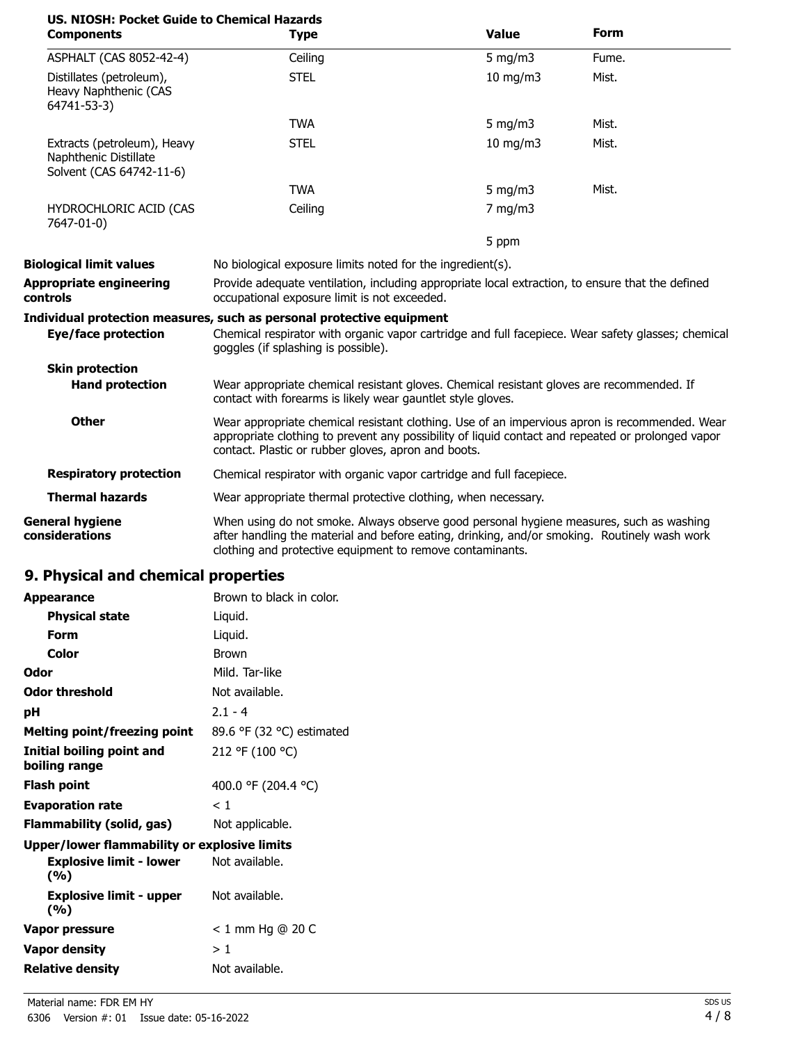| US. NIOSH: Pocket Guide to Chemical Hazards<br><b>Components</b>                 | <b>Type</b>                                                                                                                                                                                                                                               | <b>Value</b>      | <b>Form</b> |
|----------------------------------------------------------------------------------|-----------------------------------------------------------------------------------------------------------------------------------------------------------------------------------------------------------------------------------------------------------|-------------------|-------------|
| ASPHALT (CAS 8052-42-4)                                                          | Ceiling                                                                                                                                                                                                                                                   | 5 mg/m3           | Fume.       |
| Distillates (petroleum),<br>Heavy Naphthenic (CAS<br>64741-53-3)                 | <b>STEL</b>                                                                                                                                                                                                                                               | $10 \text{ mg/m}$ | Mist.       |
|                                                                                  | <b>TWA</b>                                                                                                                                                                                                                                                | 5 mg/m $3$        | Mist.       |
| Extracts (petroleum), Heavy<br>Naphthenic Distillate<br>Solvent (CAS 64742-11-6) | <b>STEL</b>                                                                                                                                                                                                                                               | $10 \text{ mg/m}$ | Mist.       |
|                                                                                  | <b>TWA</b>                                                                                                                                                                                                                                                | 5 mg/m $3$        | Mist.       |
| HYDROCHLORIC ACID (CAS<br>7647-01-0)                                             | Ceiling                                                                                                                                                                                                                                                   | $7$ mg/m $3$      |             |
|                                                                                  |                                                                                                                                                                                                                                                           | 5 ppm             |             |
| <b>Biological limit values</b>                                                   | No biological exposure limits noted for the ingredient(s).                                                                                                                                                                                                |                   |             |
| <b>Appropriate engineering</b><br>controls                                       | Provide adequate ventilation, including appropriate local extraction, to ensure that the defined<br>occupational exposure limit is not exceeded.                                                                                                          |                   |             |
| <b>Eye/face protection</b>                                                       | Individual protection measures, such as personal protective equipment<br>Chemical respirator with organic vapor cartridge and full facepiece. Wear safety glasses; chemical<br>goggles (if splashing is possible).                                        |                   |             |
| <b>Skin protection</b>                                                           |                                                                                                                                                                                                                                                           |                   |             |
| <b>Hand protection</b>                                                           | Wear appropriate chemical resistant gloves. Chemical resistant gloves are recommended. If<br>contact with forearms is likely wear gauntlet style gloves.                                                                                                  |                   |             |
| <b>Other</b>                                                                     | Wear appropriate chemical resistant clothing. Use of an impervious apron is recommended. Wear<br>appropriate clothing to prevent any possibility of liquid contact and repeated or prolonged vapor<br>contact. Plastic or rubber gloves, apron and boots. |                   |             |
| <b>Respiratory protection</b>                                                    | Chemical respirator with organic vapor cartridge and full facepiece.                                                                                                                                                                                      |                   |             |
| <b>Thermal hazards</b>                                                           | Wear appropriate thermal protective clothing, when necessary.                                                                                                                                                                                             |                   |             |
| <b>General hygiene</b><br>considerations                                         | When using do not smoke. Always observe good personal hygiene measures, such as washing<br>after handling the material and before eating, drinking, and/or smoking. Routinely wash work<br>clothing and protective equipment to remove contaminants.      |                   |             |

# **9. Physical and chemical properties**

| <b>Appearance</b>                            | Brown to black in color.  |
|----------------------------------------------|---------------------------|
| <b>Physical state</b>                        | Liquid.                   |
| Form                                         | Liquid.                   |
| Color                                        | <b>Brown</b>              |
| Odor                                         | Mild. Tar-like            |
| Odor threshold                               | Not available.            |
| рH                                           | $2.1 - 4$                 |
| Melting point/freezing point                 | 89.6 °F (32 °C) estimated |
| Initial boiling point and<br>boiling range   | 212 °F (100 °C)           |
| Flash point                                  | 400.0 °F (204.4 °C)       |
| <b>Evaporation rate</b>                      | < 1                       |
| Flammability (solid, gas)                    | Not applicable.           |
| Upper/lower flammability or explosive limits |                           |
| <b>Explosive limit - lower</b><br>(%)        | Not available.            |
| <b>Explosive limit - upper</b><br>(%)        | Not available.            |
| <b>Vapor pressure</b>                        | $< 1$ mm Hg @ 20 C        |
| <b>Vapor density</b>                         | >1                        |
| <b>Relative density</b>                      | Not available.            |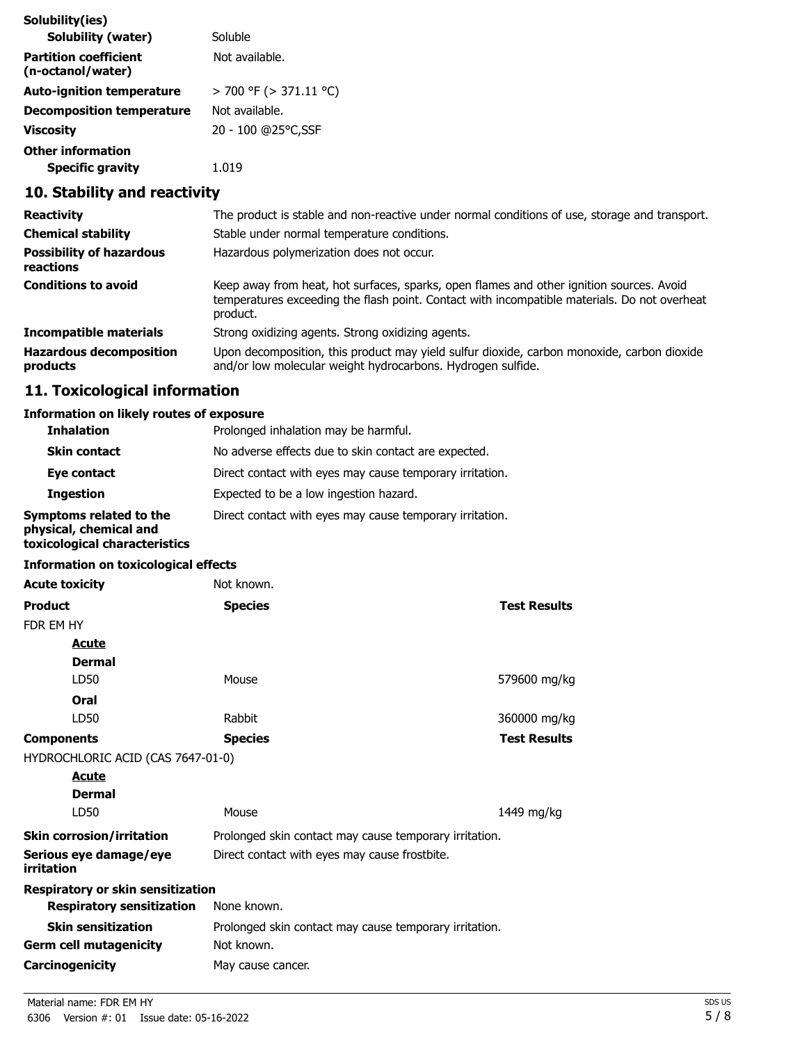| Solubility(ies)                                   |                             |
|---------------------------------------------------|-----------------------------|
| <b>Solubility (water)</b>                         | Soluble                     |
| <b>Partition coefficient</b><br>(n-octanol/water) | Not available.              |
| <b>Auto-ignition temperature</b>                  | $>$ 700 °F ( $>$ 371.11 °C) |
| <b>Decomposition temperature</b>                  | Not available.              |
| Viscosity                                         | 20 - 100 @25°C,SSF          |
| <b>Other information</b>                          |                             |
| <b>Specific gravity</b>                           | 1.019                       |

# **10. Stability and reactivity**

| <b>Reactivity</b>                            | The product is stable and non-reactive under normal conditions of use, storage and transport.                                                                                                        |
|----------------------------------------------|------------------------------------------------------------------------------------------------------------------------------------------------------------------------------------------------------|
| <b>Chemical stability</b>                    | Stable under normal temperature conditions.                                                                                                                                                          |
| <b>Possibility of hazardous</b><br>reactions | Hazardous polymerization does not occur.                                                                                                                                                             |
| <b>Conditions to avoid</b>                   | Keep away from heat, hot surfaces, sparks, open flames and other ignition sources. Avoid<br>temperatures exceeding the flash point. Contact with incompatible materials. Do not overheat<br>product. |
| Incompatible materials                       | Strong oxidizing agents. Strong oxidizing agents.                                                                                                                                                    |
| <b>Hazardous decomposition</b><br>products   | Upon decomposition, this product may yield sulfur dioxide, carbon monoxide, carbon dioxide<br>and/or low molecular weight hydrocarbons. Hydrogen sulfide.                                            |

# **11. Toxicological information**

# **Information on likely routes of exposure**

| <b>Inhalation</b>                                                                  | Prolonged inhalation may be harmful.                     |
|------------------------------------------------------------------------------------|----------------------------------------------------------|
| <b>Skin contact</b>                                                                | No adverse effects due to skin contact are expected.     |
| Eye contact                                                                        | Direct contact with eyes may cause temporary irritation. |
| <b>Ingestion</b>                                                                   | Expected to be a low ingestion hazard.                   |
| Symptoms related to the<br>physical, chemical and<br>toxicological characteristics | Direct contact with eyes may cause temporary irritation. |

## **Information on toxicological effects**

| <b>Acute toxicity</b>                | Not known.                                             |                     |
|--------------------------------------|--------------------------------------------------------|---------------------|
| <b>Product</b>                       | <b>Species</b>                                         | <b>Test Results</b> |
| FDR EM HY                            |                                                        |                     |
| <b>Acute</b>                         |                                                        |                     |
| <b>Dermal</b>                        |                                                        |                     |
| LD50                                 | Mouse                                                  | 579600 mg/kg        |
| Oral                                 |                                                        |                     |
| LD50                                 | Rabbit                                                 | 360000 mg/kg        |
| <b>Components</b>                    | <b>Species</b>                                         | <b>Test Results</b> |
| HYDROCHLORIC ACID (CAS 7647-01-0)    |                                                        |                     |
| <b>Acute</b>                         |                                                        |                     |
| <b>Dermal</b>                        |                                                        |                     |
| LD50                                 | Mouse                                                  | 1449 mg/kg          |
| <b>Skin corrosion/irritation</b>     | Prolonged skin contact may cause temporary irritation. |                     |
| Serious eye damage/eye<br>irritation | Direct contact with eyes may cause frostbite.          |                     |
| Respiratory or skin sensitization    |                                                        |                     |
| <b>Respiratory sensitization</b>     | None known.                                            |                     |
| <b>Skin sensitization</b>            | Prolonged skin contact may cause temporary irritation. |                     |
| <b>Germ cell mutagenicity</b>        | Not known.                                             |                     |
| Carcinogenicity                      | May cause cancer.                                      |                     |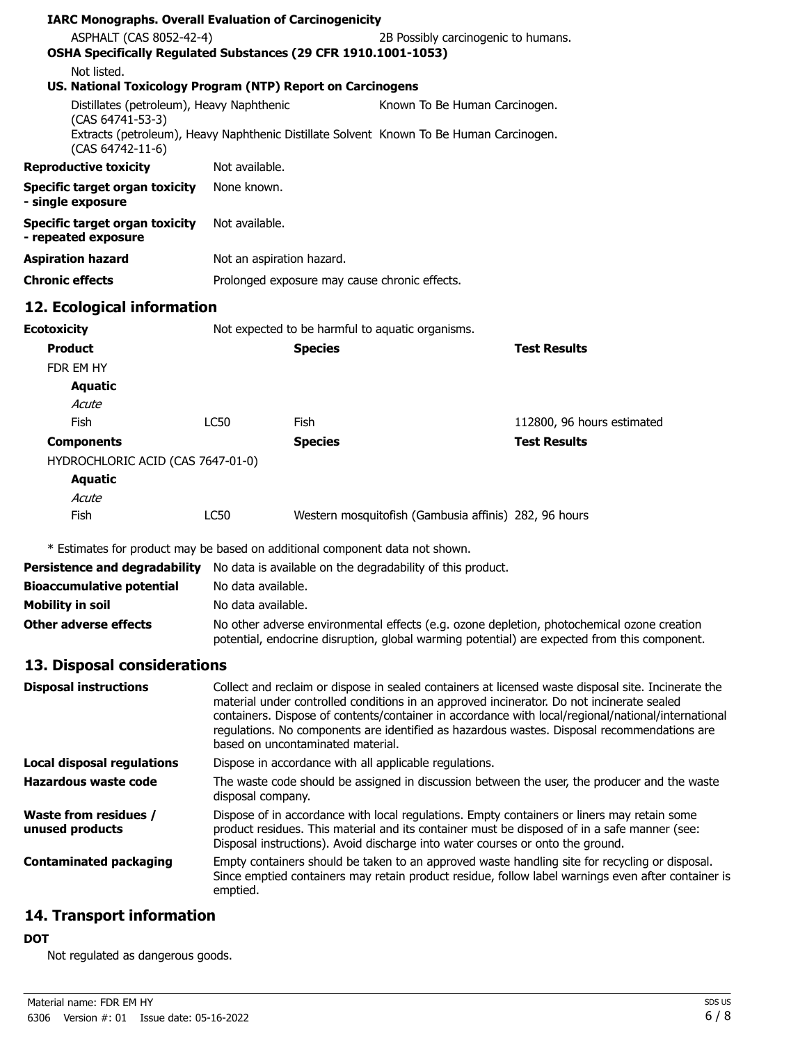| <b>IARC Monographs. Overall Evaluation of Carcinogenicity</b>                                                                   |                                                                                                                                                                                                                                                                                                                                                                                                                                            |                |                                                                                |                                                                                                                                                                                                      |
|---------------------------------------------------------------------------------------------------------------------------------|--------------------------------------------------------------------------------------------------------------------------------------------------------------------------------------------------------------------------------------------------------------------------------------------------------------------------------------------------------------------------------------------------------------------------------------------|----------------|--------------------------------------------------------------------------------|------------------------------------------------------------------------------------------------------------------------------------------------------------------------------------------------------|
| ASPHALT (CAS 8052-42-4)<br>OSHA Specifically Regulated Substances (29 CFR 1910.1001-1053)                                       |                                                                                                                                                                                                                                                                                                                                                                                                                                            |                | 2B Possibly carcinogenic to humans.                                            |                                                                                                                                                                                                      |
| Not listed.                                                                                                                     |                                                                                                                                                                                                                                                                                                                                                                                                                                            |                |                                                                                |                                                                                                                                                                                                      |
| US. National Toxicology Program (NTP) Report on Carcinogens<br>Distillates (petroleum), Heavy Naphthenic                        |                                                                                                                                                                                                                                                                                                                                                                                                                                            |                | Known To Be Human Carcinogen.                                                  |                                                                                                                                                                                                      |
| (CAS 64741-53-3)<br>Extracts (petroleum), Heavy Naphthenic Distillate Solvent Known To Be Human Carcinogen.<br>(CAS 64742-11-6) |                                                                                                                                                                                                                                                                                                                                                                                                                                            |                |                                                                                |                                                                                                                                                                                                      |
| <b>Reproductive toxicity</b>                                                                                                    | Not available.                                                                                                                                                                                                                                                                                                                                                                                                                             |                |                                                                                |                                                                                                                                                                                                      |
| <b>Specific target organ toxicity</b>                                                                                           | None known.                                                                                                                                                                                                                                                                                                                                                                                                                                |                |                                                                                |                                                                                                                                                                                                      |
| - single exposure                                                                                                               |                                                                                                                                                                                                                                                                                                                                                                                                                                            |                |                                                                                |                                                                                                                                                                                                      |
| <b>Specific target organ toxicity</b><br>- repeated exposure                                                                    |                                                                                                                                                                                                                                                                                                                                                                                                                                            | Not available. |                                                                                |                                                                                                                                                                                                      |
| <b>Aspiration hazard</b>                                                                                                        | Not an aspiration hazard.                                                                                                                                                                                                                                                                                                                                                                                                                  |                |                                                                                |                                                                                                                                                                                                      |
| <b>Chronic effects</b>                                                                                                          |                                                                                                                                                                                                                                                                                                                                                                                                                                            |                | Prolonged exposure may cause chronic effects.                                  |                                                                                                                                                                                                      |
| 12. Ecological information                                                                                                      |                                                                                                                                                                                                                                                                                                                                                                                                                                            |                |                                                                                |                                                                                                                                                                                                      |
| <b>Ecotoxicity</b>                                                                                                              |                                                                                                                                                                                                                                                                                                                                                                                                                                            |                | Not expected to be harmful to aquatic organisms.                               |                                                                                                                                                                                                      |
| <b>Product</b>                                                                                                                  |                                                                                                                                                                                                                                                                                                                                                                                                                                            | <b>Species</b> |                                                                                | <b>Test Results</b>                                                                                                                                                                                  |
| FDR EM HY                                                                                                                       |                                                                                                                                                                                                                                                                                                                                                                                                                                            |                |                                                                                |                                                                                                                                                                                                      |
| <b>Aquatic</b>                                                                                                                  |                                                                                                                                                                                                                                                                                                                                                                                                                                            |                |                                                                                |                                                                                                                                                                                                      |
| Acute                                                                                                                           |                                                                                                                                                                                                                                                                                                                                                                                                                                            |                |                                                                                |                                                                                                                                                                                                      |
| Fish                                                                                                                            | <b>LC50</b>                                                                                                                                                                                                                                                                                                                                                                                                                                | Fish           |                                                                                | 112800, 96 hours estimated                                                                                                                                                                           |
| <b>Components</b>                                                                                                               |                                                                                                                                                                                                                                                                                                                                                                                                                                            | <b>Species</b> |                                                                                | <b>Test Results</b>                                                                                                                                                                                  |
| HYDROCHLORIC ACID (CAS 7647-01-0)                                                                                               |                                                                                                                                                                                                                                                                                                                                                                                                                                            |                |                                                                                |                                                                                                                                                                                                      |
| <b>Aquatic</b>                                                                                                                  |                                                                                                                                                                                                                                                                                                                                                                                                                                            |                |                                                                                |                                                                                                                                                                                                      |
| Acute                                                                                                                           |                                                                                                                                                                                                                                                                                                                                                                                                                                            |                |                                                                                |                                                                                                                                                                                                      |
| Fish                                                                                                                            | LC50                                                                                                                                                                                                                                                                                                                                                                                                                                       |                | Western mosquitofish (Gambusia affinis) 282, 96 hours                          |                                                                                                                                                                                                      |
| * Estimates for product may be based on additional component data not shown.                                                    |                                                                                                                                                                                                                                                                                                                                                                                                                                            |                |                                                                                |                                                                                                                                                                                                      |
| Persistence and degradability No data is available on the degradability of this product.                                        |                                                                                                                                                                                                                                                                                                                                                                                                                                            |                |                                                                                |                                                                                                                                                                                                      |
| <b>Bioaccumulative potential</b>                                                                                                | No data available.                                                                                                                                                                                                                                                                                                                                                                                                                         |                |                                                                                |                                                                                                                                                                                                      |
| <b>Mobility in soil</b>                                                                                                         | No data available.                                                                                                                                                                                                                                                                                                                                                                                                                         |                |                                                                                |                                                                                                                                                                                                      |
| <b>Other adverse effects</b>                                                                                                    |                                                                                                                                                                                                                                                                                                                                                                                                                                            |                |                                                                                | No other adverse environmental effects (e.g. ozone depletion, photochemical ozone creation<br>potential, endocrine disruption, global warming potential) are expected from this component.           |
| 13. Disposal considerations                                                                                                     |                                                                                                                                                                                                                                                                                                                                                                                                                                            |                |                                                                                |                                                                                                                                                                                                      |
| <b>Disposal instructions</b>                                                                                                    | Collect and reclaim or dispose in sealed containers at licensed waste disposal site. Incinerate the<br>material under controlled conditions in an approved incinerator. Do not incinerate sealed<br>containers. Dispose of contents/container in accordance with local/regional/national/international<br>regulations. No components are identified as hazardous wastes. Disposal recommendations are<br>based on uncontaminated material. |                |                                                                                |                                                                                                                                                                                                      |
| Local disposal regulations                                                                                                      | Dispose in accordance with all applicable regulations.                                                                                                                                                                                                                                                                                                                                                                                     |                |                                                                                |                                                                                                                                                                                                      |
| <b>Hazardous waste code</b>                                                                                                     | disposal company.                                                                                                                                                                                                                                                                                                                                                                                                                          |                |                                                                                | The waste code should be assigned in discussion between the user, the producer and the waste                                                                                                         |
| <b>Waste from residues /</b><br>unused products                                                                                 |                                                                                                                                                                                                                                                                                                                                                                                                                                            |                | Disposal instructions). Avoid discharge into water courses or onto the ground. | Dispose of in accordance with local regulations. Empty containers or liners may retain some<br>product residues. This material and its container must be disposed of in a safe manner (see:          |
| <b>Contaminated packaging</b>                                                                                                   | emptied.                                                                                                                                                                                                                                                                                                                                                                                                                                   |                |                                                                                | Empty containers should be taken to an approved waste handling site for recycling or disposal.<br>Since emptied containers may retain product residue, follow label warnings even after container is |
|                                                                                                                                 |                                                                                                                                                                                                                                                                                                                                                                                                                                            |                |                                                                                |                                                                                                                                                                                                      |

# **14. Transport information**

# **DOT**

Not regulated as dangerous goods.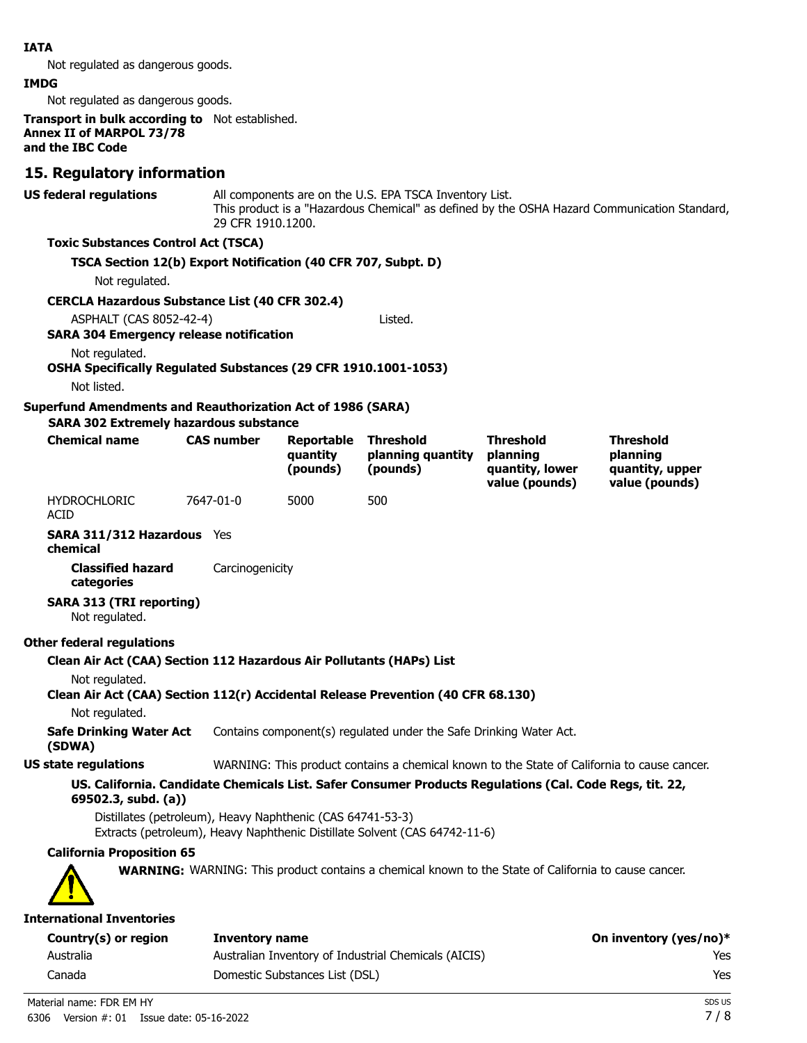### **IATA**

Not regulated as dangerous goods.

#### **IMDG**

Not regulated as dangerous goods.

**Transport in bulk according to** Not established. **Annex II of MARPOL 73/78 and the IBC Code**

## **15. Regulatory information**

**US federal regulations**

All components are on the U.S. EPA TSCA Inventory List. This product is a "Hazardous Chemical" as defined by the OSHA Hazard Communication Standard, 29 CFR 1910.1200.

#### **Toxic Substances Control Act (TSCA)**

#### **TSCA Section 12(b) Export Notification (40 CFR 707, Subpt. D)**

Not regulated.

#### **CERCLA Hazardous Substance List (40 CFR 302.4)**

ASPHALT (CAS 8052-42-4) Listed.

#### **SARA 304 Emergency release notification**

Not regulated.

#### **OSHA Specifically Regulated Substances (29 CFR 1910.1001-1053)**

Not listed.

#### **Superfund Amendments and Reauthorization Act of 1986 (SARA)**

**SARA 302 Extremely hazardous substance**

| <b>Chemical name</b> | <b>CAS number</b> | Reportable<br>auantity<br>(pounds) | <b>Threshold</b><br>planning quantity<br>(pounds) | <b>Threshold</b><br>planning<br>quantity, lower<br>value (pounds) | <b>Threshold</b><br>planning<br>quantity, upper<br>value (pounds) |
|----------------------|-------------------|------------------------------------|---------------------------------------------------|-------------------------------------------------------------------|-------------------------------------------------------------------|
| <b>HYDROCHLORIC</b>  | 7647-01-0         | 5000                               | 500                                               |                                                                   |                                                                   |

HYDROCHLORIC ACID

**SARA 311/312 Hazardous** Yes **chemical**

**Classified hazard** Carcinogenicity **categories**

## **SARA 313 (TRI reporting)**

Not regulated.

#### **Other federal regulations**

**Clean Air Act (CAA) Section 112 Hazardous Air Pollutants (HAPs) List**

Not regulated.

# **Clean Air Act (CAA) Section 112(r) Accidental Release Prevention (40 CFR 68.130)**

Not regulated.

**Safe Drinking Water Act** Contains component(s) regulated under the Safe Drinking Water Act.

#### **(SDWA)**

**US state regulations** WARNING: This product contains a chemical known to the State of California to cause cancer.

## **US. California. Candidate Chemicals List. Safer Consumer Products Regulations (Cal. Code Regs, tit. 22, 69502.3, subd. (a))**

Distillates (petroleum), Heavy Naphthenic (CAS 64741-53-3) Extracts (petroleum), Heavy Naphthenic Distillate Solvent (CAS 64742-11-6)

# **California Proposition 65**

**WARNING:** WARNING: This product contains a chemical known to the State of California to cause cancer.



#### **International Inventories**

| Country(s) or region | Inventory name                                       | On inventory (yes/no)* |
|----------------------|------------------------------------------------------|------------------------|
| Australia            | Australian Inventory of Industrial Chemicals (AICIS) | Yes                    |
| Canada               | Domestic Substances List (DSL)                       | Yes                    |